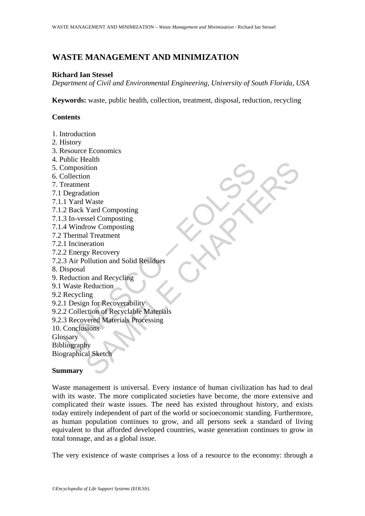# **WASTE MANAGEMENT AND MINIMIZATION**

### **Richard Ian Stessel**

*Department of Civil and Environmental Engineering, University of South Florida, USA* 

**Keywords:** waste, public health, collection, treatment, disposal, reduction, recycling

## **Contents**

- 1. Introduction
- 2. History
- 3. Resource Economics
- 4. Public Health
- 5. Composition
- 6. Collection
- 7. Treatment
- 7.1 Degradation
- 7.1.1 Yard Waste
- 7.1.2 Back Yard Composting
- 7.1.3 In-vessel Composting
- 7.1.4 Windrow Composting
- 7.2 Thermal Treatment
- 7.2.1 Incineration
- 7.2.2 Energy Recovery
- 7.2.3 Air Pollution and Solid Residues
- 8. Disposal
- 9. Reduction and Recycling
- 9.1 Waste Reduction
- 9.2 Recycling
- 9.2.1 Design for Recoverability
- Composition<br>
Composition<br>
Composition<br>
Composition<br>
Calection<br>
2 Back Yard Composting<br>
3 In-vessel Compositing<br>
4 Windrow Composting<br>
4 Windrow Compositing<br>
Thermal Treatment<br>
1 Incineration<br>
2 Calection and Recycling<br>
Was Example the Composing<br>
Into the Variation<br>
Waste<br>
Yard Composing<br>
In Treatment<br>
In Treatment<br>
eration<br>
Un and Recycling<br>
Lextration<br>
In and Recycling<br>
In for Recoverability<br>
In an of Recyclable Materials<br>
Nextrant Material 9.2.2 Collection of Recyclable Materials
- 9.2.3 Recovered Materials Processing
- 10. Conclusions

**Glossary** 

Bibliography

Biographical Sketch

#### **Summary**

Waste management is universal. Every instance of human civilization has had to deal with its waste. The more complicated societies have become, the more extensive and complicated their waste issues. The need has existed throughout history, and exists today entirely independent of part of the world or socioeconomic standing. Furthermore, as human population continues to grow, and all persons seek a standard of living equivalent to that afforded developed countries, waste generation continues to grow in total tonnage, and as a global issue.

The very existence of waste comprises a loss of a resource to the economy: through a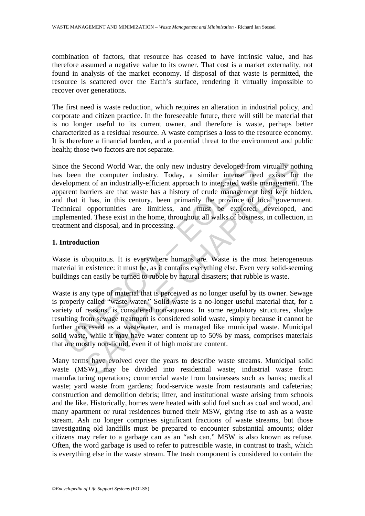combination of factors, that resource has ceased to have intrinsic value, and has therefore assumed a negative value to its owner. That cost is a market externality, not found in analysis of the market economy. If disposal of that waste is permitted, the resource is scattered over the Earth's surface, rendering it virtually impossible to recover over generations.

The first need is waste reduction, which requires an alteration in industrial policy, and corporate and citizen practice. In the foreseeable future, there will still be material that is no longer useful to its current owner, and therefore is waste, perhaps better characterized as a residual resource. A waste comprises a loss to the resource economy. It is therefore a financial burden, and a potential threat to the environment and public health; those two factors are not separate.

is the Second World War, the only new industry developed from virtually not<br>been the computer industry. Today, a similar intense need exists for<br>elopment of an industrially-efficient approach to integrated waste management Since the Second World War, the only new industry developed from virtually nothing has been the computer industry. Today, a similar intense need exists for the development of an industrially-efficient approach to integrated waste management. The apparent barriers are that waste has a history of crude management best kept hidden, and that it has, in this century, been primarily the province of local government. Technical opportunities are limitless, and must be explored, developed, and implemented. These exist in the home, throughout all walks of business, in collection, in treatment and disposal, and in processing.

## **1. Introduction**

Waste is ubiquitous. It is everywhere humans are. Waste is the most heterogeneous material in existence: it must be, as it contains everything else. Even very solid-seeming buildings can easily be turned to rubble by natural disasters; that rubble is waste.

Waste is any type of material that is perceived as no longer useful by its owner. Sewage is properly called "waste-water." Solid waste is a no-longer useful material that, for a variety of reasons, is considered non-aqueous. In some regulatory structures, sludge resulting from sewage treatment is considered solid waste, simply because it cannot be further processed as a wastewater, and is managed like municipal waste. Municipal solid waste, while it may have water content up to 50% by mass, comprises materials that are mostly non-liquid, even if of high moisture content.

Many terms have evolved over the years to describe waste streams. Municipal solid waste (MSW) may be divided into residential waste; industrial waste from manufacturing operations; commercial waste from businesses such as banks; medical waste; yard waste from gardens; food-service waste from restaurants and cafeterias; construction and demolition debris; litter, and institutional waste arising from schools and the like. Historically, homes were heated with solid fuel such as coal and wood, and many apartment or rural residences burned their MSW, giving rise to ash as a waste stream. Ash no longer comprises significant fractions of waste streams, but those investigating old landfills must be prepared to encounter substantial amounts; older citizens may refer to a garbage can as an "ash can." MSW is also known as refuse. Often, the word garbage is used to refer to putrescible waste, in contrast to trash, which is everything else in the waste stream. The trash component is considered to contain the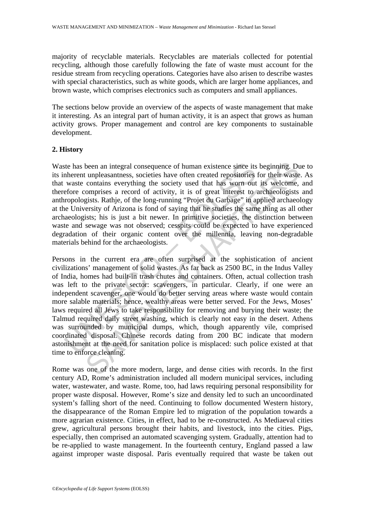majority of recyclable materials. Recyclables are materials collected for potential recycling, although those carefully following the fate of waste must account for the residue stream from recycling operations. Categories have also arisen to describe wastes with special characteristics, such as white goods, which are larger home appliances, and brown waste, which comprises electronics such as computers and small appliances.

The sections below provide an overview of the aspects of waste management that make it interesting. As an integral part of human activity, it is an aspect that grows as human activity grows. Proper management and control are key components to sustainable development.

## **2. History**

Waste has been an integral consequence of human existence since its beginning. Due to its inherent unpleasantness, societies have often created repositories for their waste. As that waste contains everything the society used that has worn out its welcome, and therefore comprises a record of activity, it is of great interest to archaeologists and anthropologists. Rathje, of the long-running "Projet du Garbage" in applied archaeology at the University of Arizona is fond of saying that he studies the same thing as all other archaeologists; his is just a bit newer. In primitive societies, the distinction between waste and sewage was not observed; cesspits could be expected to have experienced degradation of their organic content over the millennia, leaving non-degradable materials behind for the archaeologists.

the has been an integral consequence of human existence since its<br>the has been an integral consequence of human existence since its<br>waste contains everything the society used that has worn out<br>efore comprises a record of a been an integral consequence of human existence since its beginning. Du<br>tunpleasantness, societies have often created repositories for their waste<br>compirises a record of activity, it is of great interest to archaeone,<br>gist Persons in the current era are often surprised at the sophistication of ancient civilizations' management of solid wastes. As far back as 2500 BC, in the Indus Valley of India, homes had built-in trash chutes and containers. Often, actual collection trash was left to the private sector: scavengers, in particular. Clearly, if one were an independent scavenger, one would do better serving areas where waste would contain more salable materials; hence, wealthy areas were better served. For the Jews, Moses' laws required all Jews to take responsibility for removing and burying their waste; the Talmud required daily street washing, which is clearly not easy in the desert. Athens was surrounded by municipal dumps, which, though apparently vile, comprised coordinated disposal. Chinese records dating from 200 BC indicate that modern astonishment at the need for sanitation police is misplaced: such police existed at that time to enforce cleaning.

Rome was one of the more modern, large, and dense cities with records. In the first century AD, Rome's administration included all modern municipal services, including water, wastewater, and waste. Rome, too, had laws requiring personal responsibility for proper waste disposal. However, Rome's size and density led to such an uncoordinated system's falling short of the need. Continuing to follow documented Western history, the disappearance of the Roman Empire led to migration of the population towards a more agrarian existence. Cities, in effect, had to be re-constructed. As Mediaeval cities grew, agricultural persons brought their habits, and livestock, into the cities. Pigs, especially, then comprised an automated scavenging system. Gradually, attention had to be re-applied to waste management. In the fourteenth century, England passed a law against improper waste disposal. Paris eventually required that waste be taken out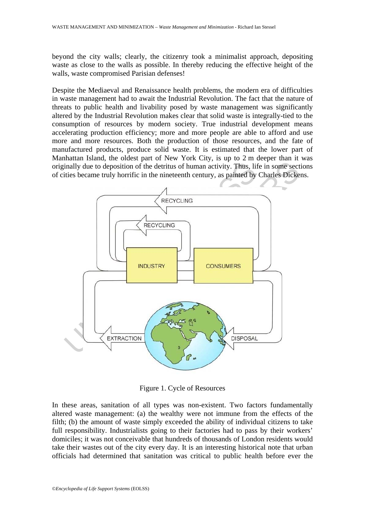beyond the city walls; clearly, the citizenry took a minimalist approach, depositing waste as close to the walls as possible. In thereby reducing the effective height of the walls, waste compromised Parisian defenses!

Despite the Mediaeval and Renaissance health problems, the modern era of difficulties in waste management had to await the Industrial Revolution. The fact that the nature of threats to public health and livability posed by waste management was significantly altered by the Industrial Revolution makes clear that solid waste is integrally-tied to the consumption of resources by modern society. True industrial development means accelerating production efficiency; more and more people are able to afford and use more and more resources. Both the production of those resources, and the fate of manufactured products, produce solid waste. It is estimated that the lower part of Manhattan Island, the oldest part of New York City, is up to 2 m deeper than it was originally due to deposition of the detritus of human activity. Thus, life in some sections of cities became truly horrific in the nineteenth century, as painted by Charles Dickens.



Figure 1. Cycle of Resources

In these areas, sanitation of all types was non-existent. Two factors fundamentally altered waste management: (a) the wealthy were not immune from the effects of the filth; (b) the amount of waste simply exceeded the ability of individual citizens to take full responsibility. Industrialists going to their factories had to pass by their workers' domiciles; it was not conceivable that hundreds of thousands of London residents would take their wastes out of the city every day. It is an interesting historical note that urban officials had determined that sanitation was critical to public health before ever the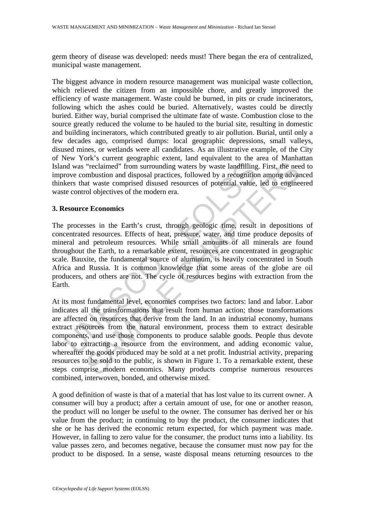germ theory of disease was developed: needs must! There began the era of centralized, municipal waste management.

The biggest advance in modern resource management was municipal waste collection, which relieved the citizen from an impossible chore, and greatly improved the efficiency of waste management. Waste could be burned, in pits or crude incinerators, following which the ashes could be buried. Alternatively, wastes could be directly buried. Either way, burial comprised the ultimate fate of waste. Combustion close to the source greatly reduced the volume to be hauled to the burial site, resulting in domestic and building incinerators, which contributed greatly to air pollution. Burial, until only a few decades ago, comprised dumps: local geographic depressions, small valleys, disused mines, or wetlands were all candidates. As an illustrative example, of the City of New York's current geographic extent, land equivalent to the area of Manhattan Island was "reclaimed" from surrounding waters by waste landfilling. First, the need to improve combustion and disposal practices, followed by a recognition among advanced thinkers that waste comprised disused resources of potential value, led to engineered waste control objectives of the modern era.

#### **3. Resource Economics**

and was "reclaimed" from surrounding waters by waste landfilling<br>rove combustion and disposal practices, followed by a recognitio<br>kers that waste comprised disused resources of potential value,<br>te control objectives of the The processes in the Earth's crust, through geologic time, result in depositions of concentrated resources. Effects of heat, pressure, water, and time produce deposits of mineral and petroleum resources. While small amounts of all minerals are found throughout the Earth, to a remarkable extent, resources are concentrated in geographic scale. Bauxite, the fundamental source of aluminum, is heavily concentrated in South Africa and Russia. It is common knowledge that some areas of the globe are oil producers, and others are not. The cycle of resources begins with extraction from the Earth.

"reclaimed" from surrounding waters by waste landfilling. First, the nee<br>
"reclaimed" from surrounding waters by waste landfilling. First, the nee<br>
ombustion and disposal practices, followed by a recognition among advar<br> At its most fundamental level, economics comprises two factors: land and labor. Labor indicates all the transformations that result from human action; those transformations are affected on resources that derive from the land. In an industrial economy, humans extract resources from the natural environment, process them to extract desirable components, and use those components to produce salable goods. People thus devote labor to extracting a resource from the environment, and adding economic value, whereafter the goods produced may be sold at a net profit. Industrial activity, preparing resources to be sold to the public, is shown in Figure 1. To a remarkable extent, these steps comprise modern economics. Many products comprise numerous resources combined, interwoven, bonded, and otherwise mixed.

A good definition of waste is that of a material that has lost value to its current owner. A consumer will buy a product; after a certain amount of use, for one or another reason, the product will no longer be useful to the owner. The consumer has derived her or his value from the product; in continuing to buy the product, the consumer indicates that she or he has derived the economic return expected, for which payment was made. However, in falling to zero value for the consumer, the product turns into a liability. Its value passes zero, and becomes negative, because the consumer must now pay for the product to be disposed. In a sense, waste disposal means returning resources to the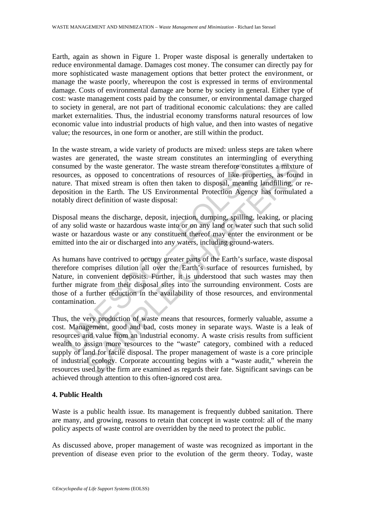Earth, again as shown in Figure 1. Proper waste disposal is generally undertaken to reduce environmental damage. Damages cost money. The consumer can directly pay for more sophisticated waste management options that better protect the environment, or manage the waste poorly, whereupon the cost is expressed in terms of environmental damage. Costs of environmental damage are borne by society in general. Either type of cost: waste management costs paid by the consumer, or environmental damage charged to society in general, are not part of traditional economic calculations: they are called market externalities. Thus, the industrial economy transforms natural resources of low economic value into industrial products of high value, and then into wastes of negative value; the resources, in one form or another, are still within the product.

In the waste stream, a wide variety of products are mixed: unless steps are taken where wastes are generated, the waste stream constitutes an intermingling of everything consumed by the waste generator. The waste stream therefore constitutes a mixture of resources, as opposed to concentrations of resources of like properties, as found in nature. That mixed stream is often then taken to disposal, meaning landfilling, or redeposition in the Earth. The US Environmental Protection Agency has formulated a notably direct definition of waste disposal:

Disposal means the discharge, deposit, injection, dumping, spilling, leaking, or placing of any solid waste or hazardous waste into or on any land or water such that such solid waste or hazardous waste or any constituent thereof may enter the environment or be emitted into the air or discharged into any waters, including ground-waters.

sumed by the waste generator. The waste stream therefore consturces, as opposed to concentrations of resources of like propere. That mixed stream is often then taken to disposal, meaning osition in the Earth. The US Enviro As humans have contrived to occupy greater parts of the Earth's surface, waste disposal therefore comprises dilution all over the Earth's surface of resources furnished, by Nature, in convenient deposits. Further, it is understood that such wastes may then further migrate from their disposal sites into the surrounding environment. Costs are those of a further reduction in the availability of those resources, and environmental contamination.

by the waste generator. The waste stream therefore constitutes a mixture as opposed to concentrations of resources of like properties, as found in the Earth. The US Environmental Protection Agency has formulate in the Eart Thus, the very production of waste means that resources, formerly valuable, assume a cost. Management, good and bad, costs money in separate ways. Waste is a leak of resources and value from an industrial economy. A waste crisis results from sufficient wealth to assign more resources to the "waste" category, combined with a reduced supply of land for facile disposal. The proper management of waste is a core principle of industrial ecology. Corporate accounting begins with a "waste audit," wherein the resources used by the firm are examined as regards their fate. Significant savings can be achieved through attention to this often-ignored cost area.

## **4. Public Health**

Waste is a public health issue. Its management is frequently dubbed sanitation. There are many, and growing, reasons to retain that concept in waste control: all of the many policy aspects of waste control are overridden by the need to protect the public.

As discussed above, proper management of waste was recognized as important in the prevention of disease even prior to the evolution of the germ theory. Today, waste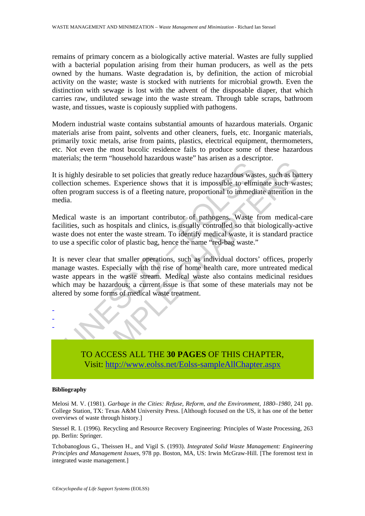remains of primary concern as a biologically active material. Wastes are fully supplied with a bacterial population arising from their human producers, as well as the pets owned by the humans. Waste degradation is, by definition, the action of microbial activity on the waste; waste is stocked with nutrients for microbial growth. Even the distinction with sewage is lost with the advent of the disposable diaper, that which carries raw, undiluted sewage into the waste stream. Through table scraps, bathroom waste, and tissues, waste is copiously supplied with pathogens.

Modern industrial waste contains substantial amounts of hazardous materials. Organic materials arise from paint, solvents and other cleaners, fuels, etc. Inorganic materials, primarily toxic metals, arise from paints, plastics, electrical equipment, thermometers, etc. Not even the most bucolic residence fails to produce some of these hazardous materials; the term "household hazardous waste" has arisen as a descriptor.

It is highly desirable to set policies that greatly reduce hazardous wastes, such as battery collection schemes. Experience shows that it is impossible to eliminate such wastes; often program success is of a fleeting nature, proportional to immediate attention in the media.

Medical waste is an important contributor of pathogens. Waste from medical-care facilities, such as hospitals and clinics, is usually controlled so that biologically-active waste does not enter the waste stream. To identify medical waste, it is standard practice to use a specific color of plastic bag, hence the name "red-bag waste."

highly desirable to set policies that greatly reduce hazardous was<br>ention schemes. Experience shows that it is impossible to elim<br>n program success is of a fleeting nature, proportional to immedia.<br>lical waste is an import desirable to set policies that greatly reduce hazardous wastes, such as backenenes. Experience shows that it is impossible to eliminate such was am success is of a fleeting nature, proportional to immediate attention in a It is never clear that smaller operations, such as individual doctors' offices, properly manage wastes. Especially with the rise of home health care, more untreated medical waste appears in the waste stream. Medical waste also contains medicinal residues which may be hazardous; a current issue is that some of these materials may not be altered by some forms of medical waste treatment.



TO ACCESS ALL THE **30 PAGES** OF THIS CHAPTER, Visit: http://www.eolss.net/Eolss-sampleAllChapter.aspx

#### **Bibliography**

Melosi M. V. (1981). *Garbage in the Cities: Refuse, Reform, and the Environment, 1880–1980*, 241 pp. College Station, TX: Texas A&M University Press. [Although focused on the US, it has one of the better overviews of waste through history.]

Stessel R. I. (1996). Recycling and Resource Recovery Engineering: Principles of Waste Processing, 263 pp. Berlin: Springer.

Tchobanoglous G., Theissen H., and Vigil S. (1993). *Integrated Solid Waste Management: Engineering Principles and Management Issues*, 978 pp. Boston, MA, US: Irwin McGraw-Hill. [The foremost text in integrated waste management.]